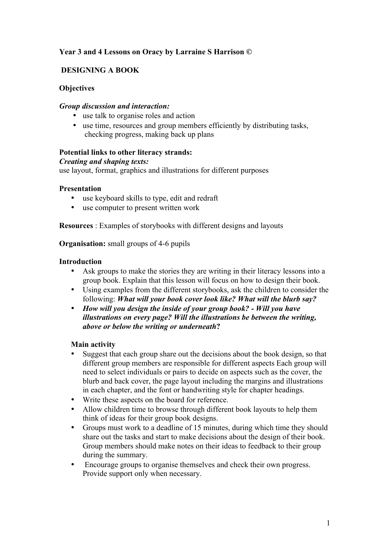# **Year 3 and 4 Lessons on Oracy by Larraine S Harrison ©**

# **DESIGNING A BOOK**

## **Objectives**

## *Group discussion and interaction:*

- use talk to organise roles and action
- use time, resources and group members efficiently by distributing tasks, checking progress, making back up plans

## **Potential links to other literacy strands:**

## *Creating and shaping texts:*

use layout, format, graphics and illustrations for different purposes

## **Presentation**

- use keyboard skills to type, edit and redraft
- use computer to present written work

**Resources** : Examples of storybooks with different designs and layouts

**Organisation:** small groups of 4-6 pupils

## **Introduction**

- Ask groups to make the stories they are writing in their literacy lessons into a group book. Explain that this lesson will focus on how to design their book.
- Using examples from the different storybooks, ask the children to consider the following: *What will your book cover look like? What will the blurb say?*
- *How will you design the inside of your group book? - Will you have illustrations on every page? Will the illustrations be between the writing, above or below the writing or underneath***?**

## **Main activity**

- Suggest that each group share out the decisions about the book design, so that different group members are responsible for different aspects Each group will need to select individuals or pairs to decide on aspects such as the cover, the blurb and back cover, the page layout including the margins and illustrations in each chapter, and the font or handwriting style for chapter headings.
- Write these aspects on the board for reference.
- Allow children time to browse through different book layouts to help them think of ideas for their group book designs.
- Groups must work to a deadline of 15 minutes, during which time they should share out the tasks and start to make decisions about the design of their book. Group members should make notes on their ideas to feedback to their group during the summary.
- Encourage groups to organise themselves and check their own progress. Provide support only when necessary.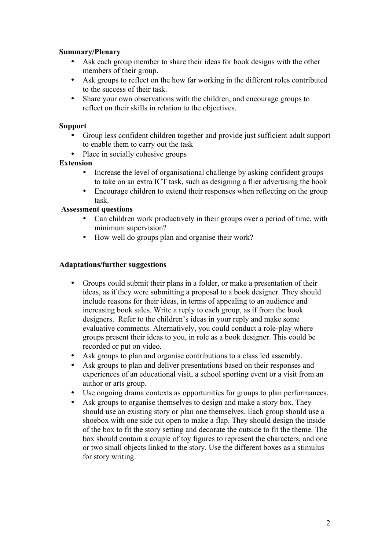# **Summary/Plenary**

- Ask each group member to share their ideas for book designs with the other members of their group.
- Ask groups to reflect on the how far working in the different roles contributed to the success of their task.
- Share your own observations with the children, and encourage groups to reflect on their skills in relation to the objectives.

# **Support**

- Group less confident children together and provide just sufficient adult support to enable them to carry out the task
- Place in socially cohesive groups

# **Extension**

- Increase the level of organisational challenge by asking confident groups to take on an extra ICT task, such as designing a flier advertising the book
- Encourage children to extend their responses when reflecting on the group task.

# **Assessment questions**

- Can children work productively in their groups over a period of time, with minimum supervision?
- How well do groups plan and organise their work?

# **Adaptations/further suggestions**

- Groups could submit their plans in a folder, or make a presentation of their ideas, as if they were submitting a proposal to a book designer. They should include reasons for their ideas, in terms of appealing to an audience and increasing book sales. Write a reply to each group, as if from the book designers. Refer to the children's ideas in your reply and make some evaluative comments. Alternatively, you could conduct a role-play where groups present their ideas to you, in role as a book designer. This could be recorded or put on video.
- Ask groups to plan and organise contributions to a class led assembly.
- Ask groups to plan and deliver presentations based on their responses and experiences of an educational visit, a school sporting event or a visit from an author or arts group.
- Use ongoing drama contexts as opportunities for groups to plan performances.
- Ask groups to organise themselves to design and make a story box. They should use an existing story or plan one themselves. Each group should use a shoebox with one side cut open to make a flap. They should design the inside of the box to fit the story setting and decorate the outside to fit the theme. The box should contain a couple of toy figures to represent the characters, and one or two small objects linked to the story. Use the different boxes as a stimulus for story writing.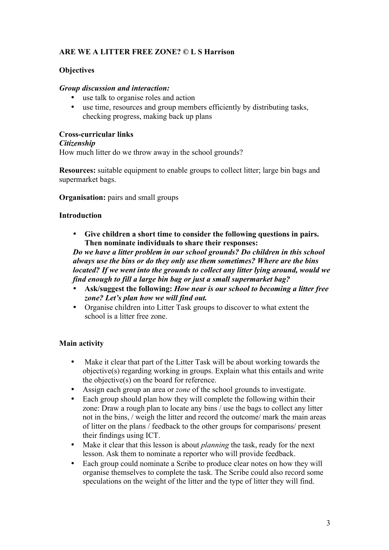# **ARE WE A LITTER FREE ZONE? © L S Harrison**

# **Objectives**

## *Group discussion and interaction:*

- use talk to organise roles and action
- use time, resources and group members efficiently by distributing tasks, checking progress, making back up plans

## **Cross-curricular links**

#### *Citizenship*

How much litter do we throw away in the school grounds?

**Resources:** suitable equipment to enable groups to collect litter; large bin bags and supermarket bags.

**Organisation:** pairs and small groups

## **Introduction**

• **Give children a short time to consider the following questions in pairs. Then nominate individuals to share their responses:** 

*Do we have a litter problem in our school grounds? Do children in this school always use the bins or do they only use them sometimes? Where are the bins located? If we went into the grounds to collect any litter lying around, would we find enough to fill a large bin bag or just a small supermarket bag?* 

- **Ask/suggest the following:** *How near is our school to becoming a litter free zone? Let's plan how we will find out.*
- Organise children into Litter Task groups to discover to what extent the school is a litter free zone.

# **Main activity**

- Make it clear that part of the Litter Task will be about working towards the objective(s) regarding working in groups. Explain what this entails and write the objective(s) on the board for reference.
- Assign each group an area or *zone* of the school grounds to investigate.
- Each group should plan how they will complete the following within their zone: Draw a rough plan to locate any bins / use the bags to collect any litter not in the bins, / weigh the litter and record the outcome/ mark the main areas of litter on the plans / feedback to the other groups for comparisons/ present their findings using ICT.
- Make it clear that this lesson is about *planning* the task, ready for the next lesson. Ask them to nominate a reporter who will provide feedback.
- Each group could nominate a Scribe to produce clear notes on how they will organise themselves to complete the task. The Scribe could also record some speculations on the weight of the litter and the type of litter they will find.